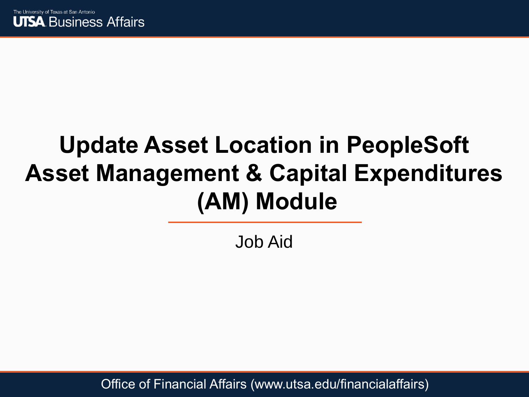

### **Update Asset Location in PeopleSoft Asset Management & Capital Expenditures (AM) Module**

Job Aid

Office of Financial Affairs (www.utsa.edu/financialaffairs)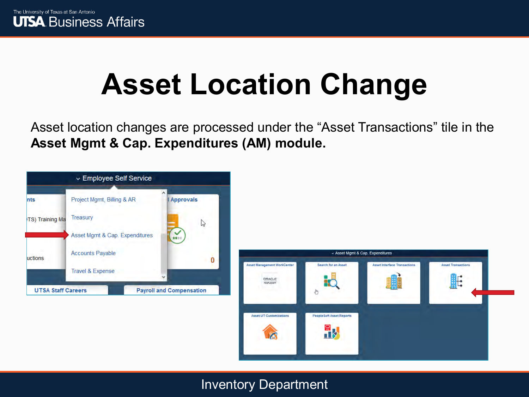### **Asset Location Change**

Asset location changes are processed under the "Asset Transactions" tile in the **Asset Mgmt & Cap. Expenditures (AM) module.** 



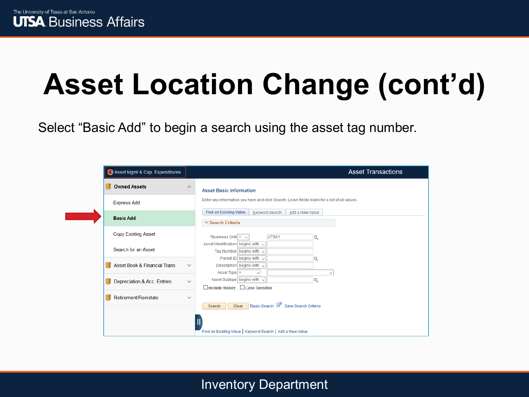Select "Basic Add" to begin a search using the asset tag number.

| Asset Mgmt & Cap. Expenditures          |              | <b>Asset Transactions</b>                                                                                |
|-----------------------------------------|--------------|----------------------------------------------------------------------------------------------------------|
| <b>Owned Assets</b>                     | $\wedge$     | <b>Asset Basic Information</b>                                                                           |
| <b>Express Add</b>                      |              | Enter any information you have and click Search. Leave fields blank for a list of all values.            |
| <b>Basic Add</b>                        |              | <b>Find an Existing Value</b><br>Keyword Search<br>Add a New Value<br>Search Criteria                    |
| <b>Copy Existing Asset</b>              |              | *Business Unit $=$ $\sim$<br>UTSA1<br>Q                                                                  |
| Search for an Asset                     |              | Asset Identification begins with $\sim$<br>Tag Number begins with $\sim$<br>Parent ID begins with $\sim$ |
| <b>Asset Book &amp; Financial Trans</b> | $\checkmark$ | Q<br>Description begins with $\sim$<br>Asset Type $=$<br>$\checkmark$                                    |
| Depreciation & Acc. Entries             | $\checkmark$ | $\checkmark$<br>Asset Subtype begins with $\sim$<br>Q<br>□ Include History □ Case Sensitive              |
| Retirement/Reinstate                    | $\checkmark$ | Basic Search & Save Search Criteria<br>Clear<br>Search                                                   |
|                                         |              | Find an Existing Value   Keyword Search   Add a New Value                                                |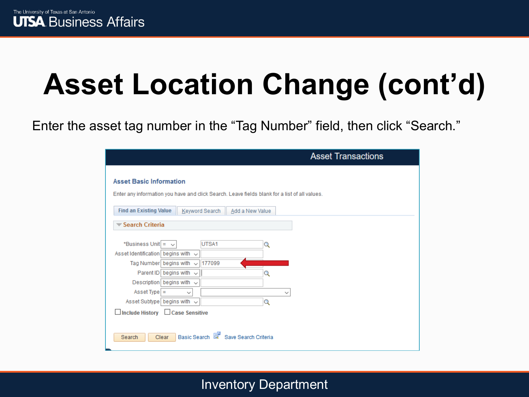Enter the asset tag number in the "Tag Number" field, then click "Search."

|                                                                                                                                                                                                                                                                                                                                                                  | <b>Asset Transactions</b> |
|------------------------------------------------------------------------------------------------------------------------------------------------------------------------------------------------------------------------------------------------------------------------------------------------------------------------------------------------------------------|---------------------------|
| <b>Asset Basic Information</b><br>Enter any information you have and click Search. Leave fields blank for a list of all values.                                                                                                                                                                                                                                  |                           |
| <b>Find an Existing Value</b><br>Keyword Search<br>Add a New Value                                                                                                                                                                                                                                                                                               |                           |
| Search Criteria                                                                                                                                                                                                                                                                                                                                                  |                           |
| *Business Unit =<br>UTSA1<br>Q<br>$\checkmark$<br>Asset Identification begins with $\sim$<br>177099<br>Tag Number begins with<br>$\checkmark$<br>Parent ID   begins with $\sim$<br>Q<br>Description begins with $\sim$<br>Asset Type $=$<br>$\checkmark$<br>$\check{ }$<br>Asset Subtype begins with $\sim$<br>Q<br>$\Box$ Include History $\Box$ Case Sensitive |                           |
| Basic Search & Save Search Criteria<br><b>Clear</b><br>Search                                                                                                                                                                                                                                                                                                    |                           |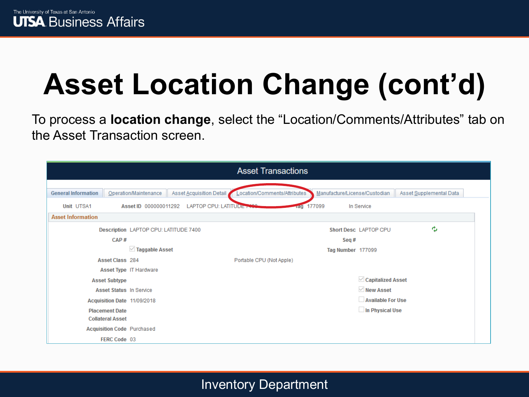To process a **location change**, select the "Location/Comments/Attributes" tab on the Asset Transaction screen.

|                            |                                       |                          | <b>Asset Transactions</b>    |                               |                         |
|----------------------------|---------------------------------------|--------------------------|------------------------------|-------------------------------|-------------------------|
|                            |                                       |                          |                              |                               |                         |
| <b>General Information</b> | Operation/Maintenance                 | Asset Acquisition Detail | Location/Comments/Attributes | Manufacture/License/Custodian | Asset Supplemental Data |
| Unit UTSA1                 | Asset ID 000000011292                 | LAPTOP CPU: LATITUDE     | Tag 177099                   | In Service                    |                         |
| <b>Asset Information</b>   |                                       |                          |                              |                               |                         |
|                            | Description LAPTOP CPU: LATITUDE 7400 |                          |                              | Short Desc LAPTOP CPU         | ٠                       |
|                            | CAP#                                  |                          |                              | Seq#                          |                         |
|                            | $\vee$ Taggable Asset                 |                          |                              | Tag Number 177099             |                         |
|                            | <b>Asset Class</b> 284                |                          | Portable CPU (Not Apple)     |                               |                         |
|                            | Asset Type IT Hardware                |                          |                              |                               |                         |
|                            | <b>Asset Subtype</b>                  |                          |                              | $\vee$ Capitalized Asset      |                         |
|                            | <b>Asset Status In Service</b>        |                          |                              | $\vee$ New Asset              |                         |
|                            | Acquisition Date 11/09/2018           |                          |                              | Available For Use             |                         |
|                            | <b>Placement Date</b>                 |                          |                              | $\Box$ In Physical Use        |                         |
|                            | <b>Collateral Asset</b>               |                          |                              |                               |                         |
|                            | <b>Acquisition Code Purchased</b>     |                          |                              |                               |                         |
|                            | FERC Code 03                          |                          |                              |                               |                         |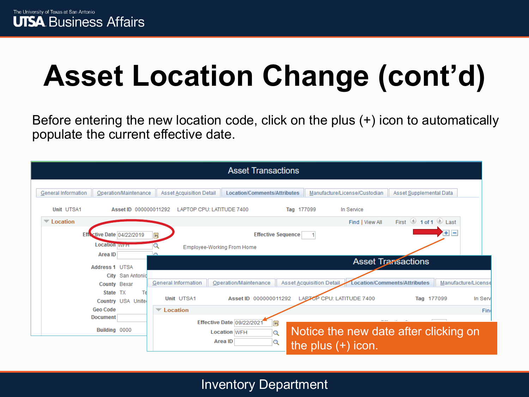Before entering the new location code, click on the plus (+) icon to automatically populate the current effective date.

|                                              |                               | <b>Asset Transactions</b>                                             |                          |                               |                                                            |         |
|----------------------------------------------|-------------------------------|-----------------------------------------------------------------------|--------------------------|-------------------------------|------------------------------------------------------------|---------|
| General Information<br>Operation/Maintenance | Asset Acquisition Detail      | Location/Comments/Attributes                                          |                          | Manufacture/License/Custodian | Asset Supplemental Data                                    |         |
| Unit UTSA1<br>Asset ID 000000011292          | LAPTOP CPU: LATITUDE 7400     |                                                                       | Tag 177099               | In Service                    |                                                            |         |
| $\overline{\phantom{a}}$ Location            |                               |                                                                       |                          | Find   View All               | First 1 of 1 D Last                                        |         |
| <b>Effective Date 04/22/2019</b>             | <b>b</b>                      | <b>Effective Sequence</b>                                             |                          |                               | $+$ $-$                                                    |         |
| <b>Location WFH</b><br>Area ID               | $\curvearrowright$            | <b>Employee-Working From Home</b>                                     |                          |                               |                                                            |         |
| Address 1 UTSA                               |                               |                                                                       |                          |                               | <b>Asset Transactions</b>                                  |         |
| City San Antonio<br>County Bexar             | General Information           | Operation/Maintenance                                                 | Asset Acquisition Detail |                               | <b>Location/Comments/Attributes</b><br>Manufacture/License |         |
| State TX<br>Tel<br>Country USA Unite         | Unit UTSA1                    | Asset ID 000000011292                                                 |                          | LAPTOP CPU: LATITUDE 7400     | Tag 177099                                                 | In Serv |
| <b>Geo Code</b>                              | $\blacktriangledown$ Location |                                                                       |                          |                               |                                                            | Fine    |
| <b>Document</b><br>Building 0000             |                               | Effective Date 09/22/2021<br>E<br><b>Location WFH</b><br>Q<br>Area ID |                          |                               | Notice the new date after clicking on                      |         |
|                                              |                               | Q                                                                     |                          | the plus $(+)$ icon.          |                                                            |         |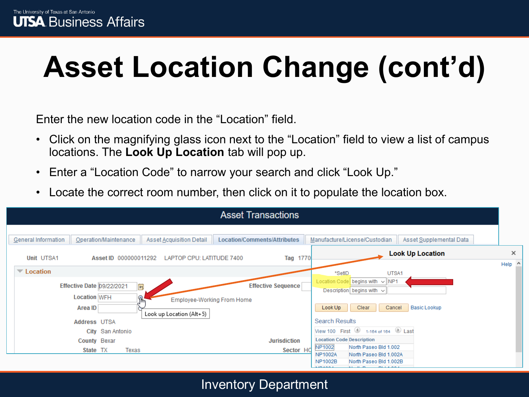Enter the new location code in the "Location" field.

- Click on the magnifying glass icon next to the "Location" field to view a list of campus locations. The **Look Up Location** tab will pop up.
- Enter a "Location Code" to narrow your search and click "Look Up."
- Locate the correct room number, then click on it to populate the location box.

|                                                                          | <b>Asset Transactions</b>                               |                                                                                                                                   |          |
|--------------------------------------------------------------------------|---------------------------------------------------------|-----------------------------------------------------------------------------------------------------------------------------------|----------|
| Asset Acquisition Detail<br>General Information<br>Operation/Maintenance | Location/Comments/Attributes                            | Manufacture/License/Custodian<br>Asset Supplemental Data<br><b>Look Up Location</b>                                               | $\times$ |
| Unit UTSA1<br>Asset ID 000000011292<br>$\blacktriangledown$ Location     | Tag 1770<br>LAPTOP CPU: LATITUDE 7400                   | *SetID<br>UTSA1                                                                                                                   | Help ^   |
| Effective Date 09/22/2021<br>Ħ<br><b>Location WFH</b>                    | <b>Effective Sequence</b><br>Employee-Working From Home | Location Code begins with $\sim$ NP1<br>Description begins with $\sim$                                                            |          |
| Area ID<br>Look up Location (Alt+5)<br>Address UTSA                      |                                                         | Clear<br><b>Basic Lookup</b><br>Look Up<br>Cancel<br>Search Results                                                               |          |
| City San Antonio                                                         |                                                         | View 100 First 1 1-164 of 164 12 Last                                                                                             |          |
| County Bexar                                                             | <b>Jurisdiction</b>                                     | <b>Location Code Description</b>                                                                                                  |          |
| Texas<br>State TX                                                        | Sector HC                                               | NP1002<br>North Paseo Bld 1.002<br>North Paseo Bld 1.002A<br><b>NP1002A</b><br><b>NP1002B</b><br>North Paseo Bld 1.002B<br>104001 |          |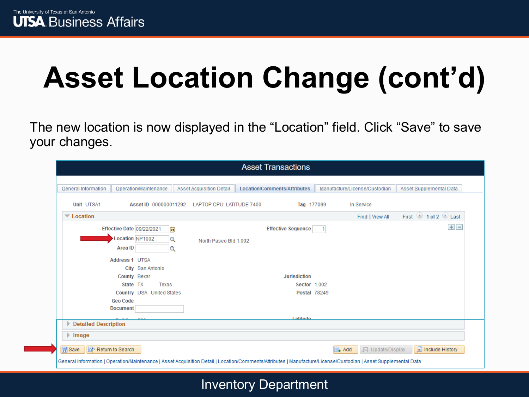The new location is now displayed in the "Location" field. Click "Save" to save your changes.

|                                                            |                                                                                                                                                                                                                     |                                       | <b>Asset Transactions</b>                                                                                                                                       |                               |                  |                                         |
|------------------------------------------------------------|---------------------------------------------------------------------------------------------------------------------------------------------------------------------------------------------------------------------|---------------------------------------|-----------------------------------------------------------------------------------------------------------------------------------------------------------------|-------------------------------|------------------|-----------------------------------------|
| General Information                                        | Operation/Maintenance                                                                                                                                                                                               | Asset Acquisition Detail              | Location/Comments/Attributes                                                                                                                                    | Manufacture/License/Custodian |                  | Asset Supplemental Data                 |
| <b>Unit UTSA1</b>                                          | Asset ID 000000011292                                                                                                                                                                                               | LAPTOP CPU: LATITUDE 7400             | Tag 177099                                                                                                                                                      |                               | In Service       |                                         |
| $\blacktriangledown$ Location                              |                                                                                                                                                                                                                     |                                       |                                                                                                                                                                 |                               | Find   View All  | First $\bigcirc$ 1 of 2 $\bigcirc$ Last |
|                                                            | <b>Effective Date 09/22/2021</b><br>Location NP1002<br>Area ID<br><b>Address 1 UTSA</b><br>City San Antonio<br>County Bexar<br>State TX<br>Texas<br>Country USA United States<br><b>Geo Code</b><br><b>Document</b> | FÜ<br>Q<br>North Paseo Bld 1.002<br>Q | <b>Effective Sequence</b><br><b>Jurisdiction</b><br>Sector 1.002<br><b>Postal 78249</b>                                                                         |                               |                  | $+$ $-$                                 |
|                                                            |                                                                                                                                                                                                                     |                                       | <b>Latitude</b>                                                                                                                                                 |                               |                  |                                         |
| <b>Detailed Description</b><br>$\blacktriangleright$ Image |                                                                                                                                                                                                                     |                                       |                                                                                                                                                                 |                               |                  |                                         |
| <b>同</b> Save                                              | The Return to Search                                                                                                                                                                                                |                                       | General Information   Operation/Maintenance   Asset Acquisition Detail   Location/Comments/Attributes   Manufacture/License/Custodian   Asset Supplemental Data | $\Box$ Add                    | 圆 Update/Display | Include History                         |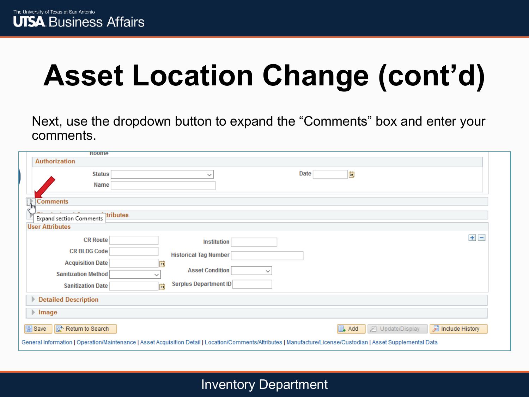Next, use the dropdown button to expand the "Comments" box and enter your comments.

| K00MH                                                                                                                                                           |                                        |      |                                                          |         |
|-----------------------------------------------------------------------------------------------------------------------------------------------------------------|----------------------------------------|------|----------------------------------------------------------|---------|
| <b>Authorization</b>                                                                                                                                            |                                        |      |                                                          |         |
| <b>Status</b>                                                                                                                                                   | $\checkmark$                           | Date | D)                                                       |         |
| Name                                                                                                                                                            |                                        |      |                                                          |         |
| $\triangleright$ Comments                                                                                                                                       |                                        |      |                                                          |         |
| tributes                                                                                                                                                        |                                        |      |                                                          |         |
| Expand section Comments                                                                                                                                         |                                        |      |                                                          |         |
| <b>User Attributes</b>                                                                                                                                          |                                        |      |                                                          |         |
| <b>CR Route</b>                                                                                                                                                 | <b>Institution</b>                     |      |                                                          | $+$ $-$ |
| <b>CR BLDG Code</b>                                                                                                                                             | <b>Historical Tag Number</b>           |      |                                                          |         |
| <b>Acquisition Date</b><br>Fij                                                                                                                                  |                                        |      |                                                          |         |
| <b>Sanitization Method</b><br>$\checkmark$                                                                                                                      | <b>Asset Condition</b><br>$\checkmark$ |      |                                                          |         |
| <b>Sanitization Date</b><br>FJ                                                                                                                                  | <b>Surplus Department ID</b>           |      |                                                          |         |
| <b>Detailed Description</b><br>Þ                                                                                                                                |                                        |      |                                                          |         |
| $\blacktriangleright$ Image                                                                                                                                     |                                        |      |                                                          |         |
| <b>同</b> Save<br>Return to Search                                                                                                                               |                                        |      | Include History<br>$\Box$ Add<br><b>图 Update/Display</b> |         |
| General Information   Operation/Maintenance   Asset Acquisition Detail   Location/Comments/Attributes   Manufacture/License/Custodian   Asset Supplemental Data |                                        |      |                                                          |         |